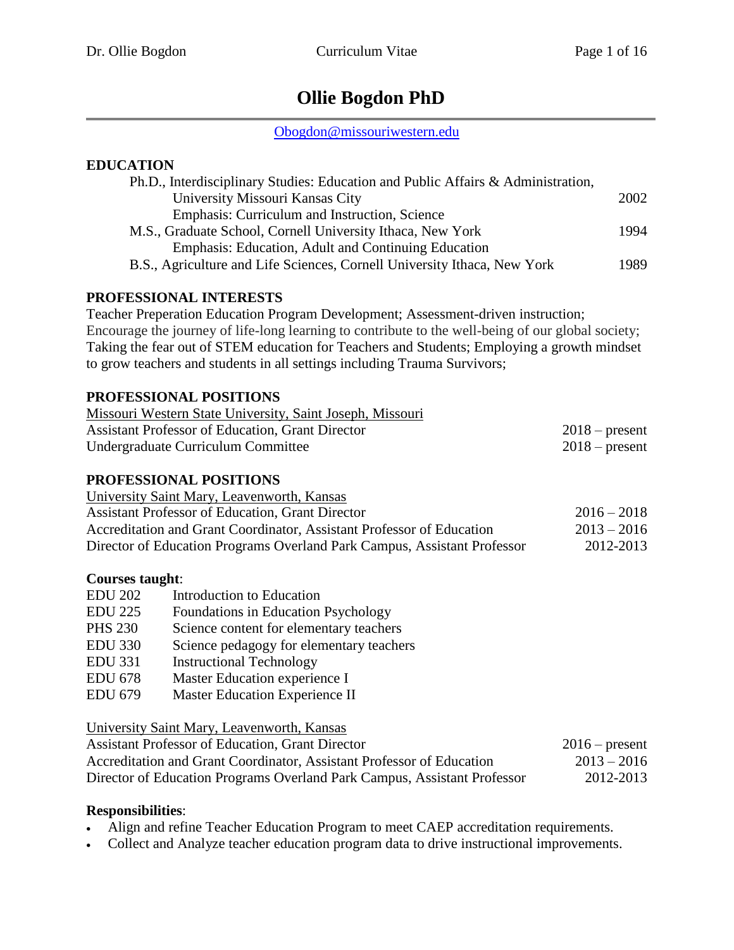# **Ollie Bogdon PhD**

[Obogdon@missouriwestern.edu](mailto:Obogdon@missouriwestern.edu)

## **EDUCATION**

| Ph.D., Interdisciplinary Studies: Education and Public Affairs & Administration, |      |
|----------------------------------------------------------------------------------|------|
| University Missouri Kansas City                                                  | 2002 |
| Emphasis: Curriculum and Instruction, Science                                    |      |
| M.S., Graduate School, Cornell University Ithaca, New York                       | 1994 |
| Emphasis: Education, Adult and Continuing Education                              |      |
| B.S., Agriculture and Life Sciences, Cornell University Ithaca, New York         | 1989 |
|                                                                                  |      |

## **PROFESSIONAL INTERESTS**

Teacher Preperation Education Program Development; Assessment-driven instruction; Encourage the journey of life-long learning to contribute to the well-being of our global society; Taking the fear out of STEM education for Teachers and Students; Employing a growth mindset to grow teachers and students in all settings including Trauma Survivors;

## **PROFESSIONAL POSITIONS**

| Missouri Western State University, Saint Joseph, Missouri |                  |
|-----------------------------------------------------------|------------------|
| Assistant Professor of Education, Grant Director          | $2018$ – present |
| Undergraduate Curriculum Committee                        | $2018$ – present |

## **PROFESSIONAL POSITIONS**

| University Saint Mary, Leavenworth, Kansas                               |               |
|--------------------------------------------------------------------------|---------------|
| <b>Assistant Professor of Education, Grant Director</b>                  | $2016 - 2018$ |
| Accreditation and Grant Coordinator, Assistant Professor of Education    | $2013 - 2016$ |
| Director of Education Programs Overland Park Campus, Assistant Professor | 2012-2013     |

#### **Courses taught**:

| <b>EDU 202</b> | Introduction to Education                |
|----------------|------------------------------------------|
| <b>EDU 225</b> | Foundations in Education Psychology      |
| <b>PHS 230</b> | Science content for elementary teachers  |
| <b>EDU 330</b> | Science pedagogy for elementary teachers |
| <b>EDU 331</b> | <b>Instructional Technology</b>          |
| <b>EDU 678</b> | Master Education experience I            |
| <b>EDU 679</b> | Master Education Experience II           |

University Saint Mary, Leavenworth, Kansas

| <b>Assistant Professor of Education, Grant Director</b>                  | $2016$ – present |
|--------------------------------------------------------------------------|------------------|
| Accreditation and Grant Coordinator, Assistant Professor of Education    | $2013 - 2016$    |
| Director of Education Programs Overland Park Campus, Assistant Professor | 2012-2013        |

## **Responsibilities**:

- Align and refine Teacher Education Program to meet CAEP accreditation requirements.
- Collect and Analyze teacher education program data to drive instructional improvements.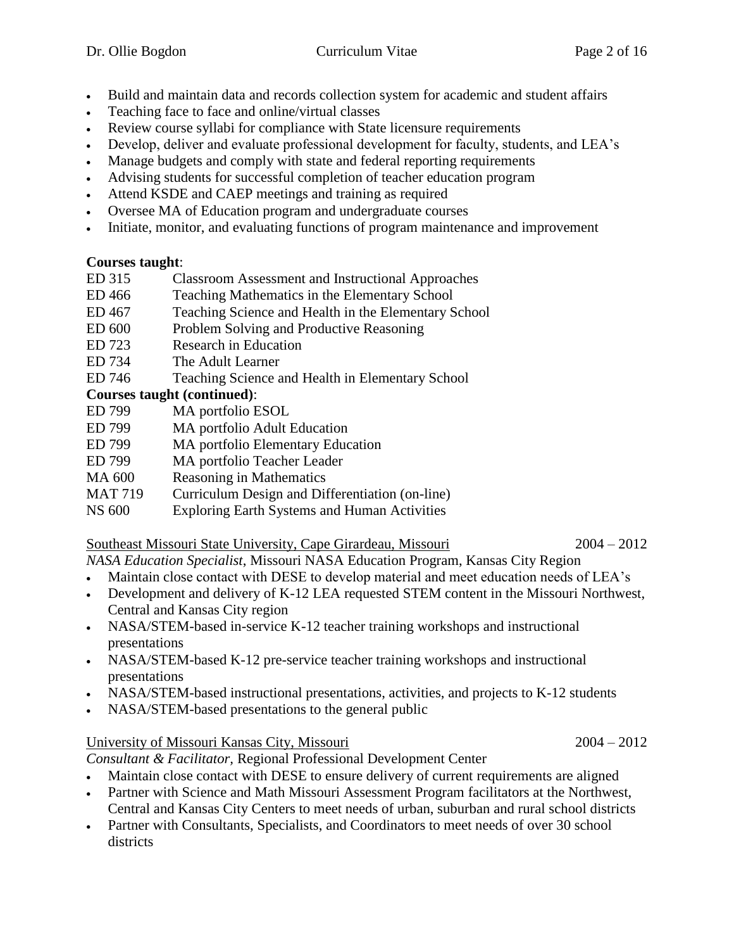- Build and maintain data and records collection system for academic and student affairs
- Teaching face to face and online/virtual classes
- Review course syllabi for compliance with State licensure requirements
- Develop, deliver and evaluate professional development for faculty, students, and LEA's
- Manage budgets and comply with state and federal reporting requirements
- Advising students for successful completion of teacher education program
- Attend KSDE and CAEP meetings and training as required
- Oversee MA of Education program and undergraduate courses
- Initiate, monitor, and evaluating functions of program maintenance and improvement

## **Courses taught**:

- ED 315 Classroom Assessment and Instructional Approaches
- ED 466 Teaching Mathematics in the Elementary School
- ED 467 Teaching Science and Health in the Elementary School
- ED 600 Problem Solving and Productive Reasoning
- ED 723 Research in Education
- ED 734 The Adult Learner
- ED 746 Teaching Science and Health in Elementary School

## **Courses taught (continued)**:

- ED 799 MA portfolio ESOL
- ED 799 MA portfolio Adult Education
- ED 799 MA portfolio Elementary Education
- ED 799 MA portfolio Teacher Leader
- MA 600 Reasoning in Mathematics
- MAT 719 Curriculum Design and Differentiation (on-line)
- NS 600 Exploring Earth Systems and Human Activities

## Southeast Missouri State University, Cape Girardeau, Missouri 2004 – 2012

*NASA Education Specialist*, Missouri NASA Education Program, Kansas City Region

- Maintain close contact with DESE to develop material and meet education needs of LEA's
- Development and delivery of K-12 LEA requested STEM content in the Missouri Northwest, Central and Kansas City region
- NASA/STEM-based in-service K-12 teacher training workshops and instructional presentations
- NASA/STEM-based K-12 pre-service teacher training workshops and instructional presentations
- NASA/STEM-based instructional presentations, activities, and projects to K-12 students
- NASA/STEM-based presentations to the general public

## University of Missouri Kansas City, Missouri 2004 – 2012

*Consultant & Facilitator,* Regional Professional Development Center

- Maintain close contact with DESE to ensure delivery of current requirements are aligned
- Partner with Science and Math Missouri Assessment Program facilitators at the Northwest, Central and Kansas City Centers to meet needs of urban, suburban and rural school districts
- Partner with Consultants, Specialists, and Coordinators to meet needs of over 30 school districts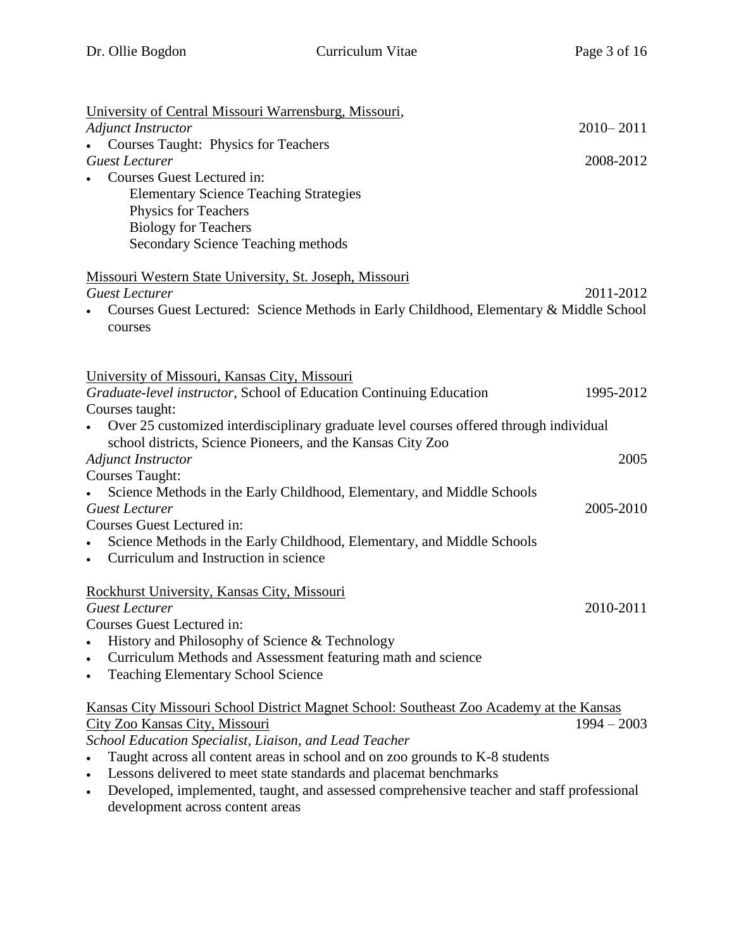| University of Central Missouri Warrensburg, Missouri,                                                  |               |
|--------------------------------------------------------------------------------------------------------|---------------|
| <b>Adjunct Instructor</b>                                                                              | $2010 - 2011$ |
| <b>Courses Taught: Physics for Teachers</b>                                                            |               |
| <b>Guest Lecturer</b>                                                                                  | 2008-2012     |
| Courses Guest Lectured in:                                                                             |               |
| <b>Elementary Science Teaching Strategies</b><br>Physics for Teachers                                  |               |
| <b>Biology for Teachers</b>                                                                            |               |
| <b>Secondary Science Teaching methods</b>                                                              |               |
|                                                                                                        |               |
| Missouri Western State University, St. Joseph, Missouri                                                |               |
| <b>Guest Lecturer</b>                                                                                  | 2011-2012     |
| Courses Guest Lectured: Science Methods in Early Childhood, Elementary & Middle School                 |               |
| courses                                                                                                |               |
|                                                                                                        |               |
|                                                                                                        |               |
| University of Missouri, Kansas City, Missouri                                                          |               |
| Graduate-level instructor, School of Education Continuing Education<br>Courses taught:                 | 1995-2012     |
| Over 25 customized interdisciplinary graduate level courses offered through individual                 |               |
| school districts, Science Pioneers, and the Kansas City Zoo                                            |               |
| <b>Adjunct Instructor</b>                                                                              | 2005          |
| <b>Courses Taught:</b>                                                                                 |               |
| Science Methods in the Early Childhood, Elementary, and Middle Schools                                 |               |
| <b>Guest Lecturer</b>                                                                                  | 2005-2010     |
| Courses Guest Lectured in:                                                                             |               |
| Science Methods in the Early Childhood, Elementary, and Middle Schools                                 |               |
| Curriculum and Instruction in science<br>$\bullet$                                                     |               |
|                                                                                                        |               |
| Rockhurst University, Kansas City, Missouri<br><b>Guest Lecturer</b>                                   |               |
| Courses Guest Lectured in:                                                                             | 2010-2011     |
| History and Philosophy of Science & Technology                                                         |               |
| Curriculum Methods and Assessment featuring math and science                                           |               |
| <b>Teaching Elementary School Science</b><br>$\bullet$                                                 |               |
|                                                                                                        |               |
| Kansas City Missouri School District Magnet School: Southeast Zoo Academy at the Kansas                |               |
| City Zoo Kansas City, Missouri                                                                         | $1994 - 2003$ |
| School Education Specialist, Liaison, and Lead Teacher                                                 |               |
| Taught across all content areas in school and on zoo grounds to K-8 students                           |               |
| Lessons delivered to meet state standards and placemat benchmarks<br>$\bullet$                         |               |
| Developed, implemented, taught, and assessed comprehensive teacher and staff professional<br>$\bullet$ |               |
| development across content areas                                                                       |               |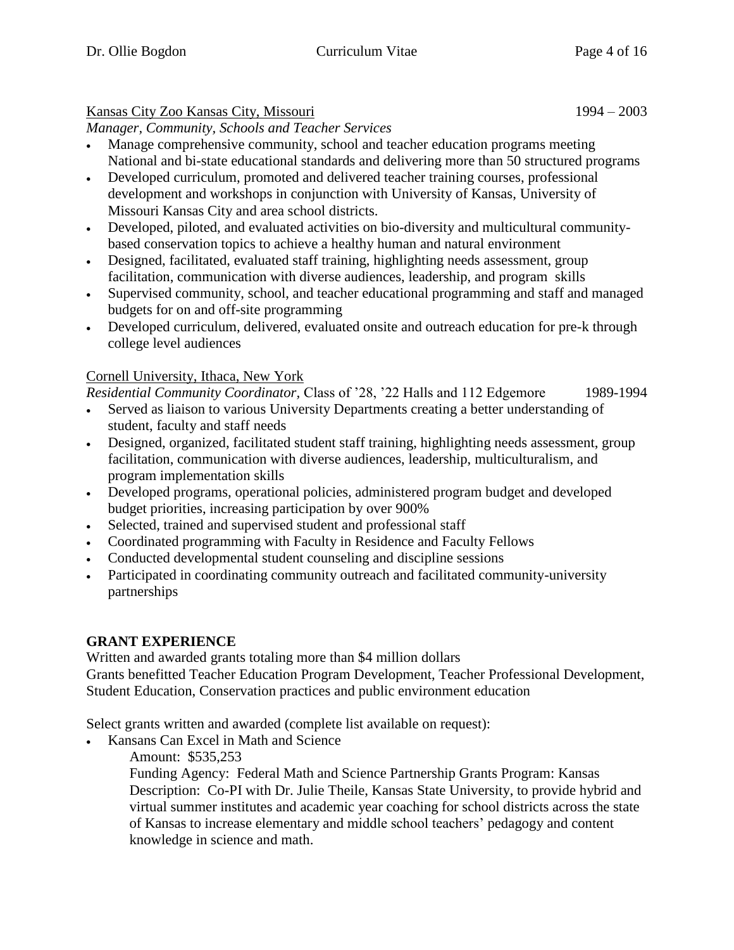## Kansas City Zoo Kansas City, Missouri 1994 – 2003

*Manager, Community, Schools and Teacher Services*

- Manage comprehensive community, school and teacher education programs meeting National and bi-state educational standards and delivering more than 50 structured programs
- Developed curriculum, promoted and delivered teacher training courses, professional development and workshops in conjunction with University of Kansas, University of Missouri Kansas City and area school districts.
- Developed, piloted, and evaluated activities on bio-diversity and multicultural communitybased conservation topics to achieve a healthy human and natural environment
- Designed, facilitated, evaluated staff training, highlighting needs assessment, group facilitation, communication with diverse audiences, leadership, and program skills
- Supervised community, school, and teacher educational programming and staff and managed budgets for on and off-site programming
- Developed curriculum, delivered, evaluated onsite and outreach education for pre-k through college level audiences

## Cornell University, Ithaca, New York

*Residential Community Coordinator,* Class of '28, '22 Halls and 112 Edgemore 1989-1994

- Served as liaison to various University Departments creating a better understanding of student, faculty and staff needs
- Designed, organized, facilitated student staff training, highlighting needs assessment, group facilitation, communication with diverse audiences, leadership, multiculturalism, and program implementation skills
- Developed programs, operational policies, administered program budget and developed budget priorities, increasing participation by over 900%
- Selected, trained and supervised student and professional staff
- Coordinated programming with Faculty in Residence and Faculty Fellows
- Conducted developmental student counseling and discipline sessions
- Participated in coordinating community outreach and facilitated community-university partnerships

## **GRANT EXPERIENCE**

Written and awarded grants totaling more than \$4 million dollars Grants benefitted Teacher Education Program Development, Teacher Professional Development, Student Education, Conservation practices and public environment education

Select grants written and awarded (complete list available on request):

- Kansans Can Excel in Math and Science
	- Amount: \$535,253

Funding Agency: Federal Math and Science Partnership Grants Program: Kansas Description: Co-PI with Dr. Julie Theile, Kansas State University, to provide hybrid and virtual summer institutes and academic year coaching for school districts across the state of Kansas to increase elementary and middle school teachers' pedagogy and content knowledge in science and math.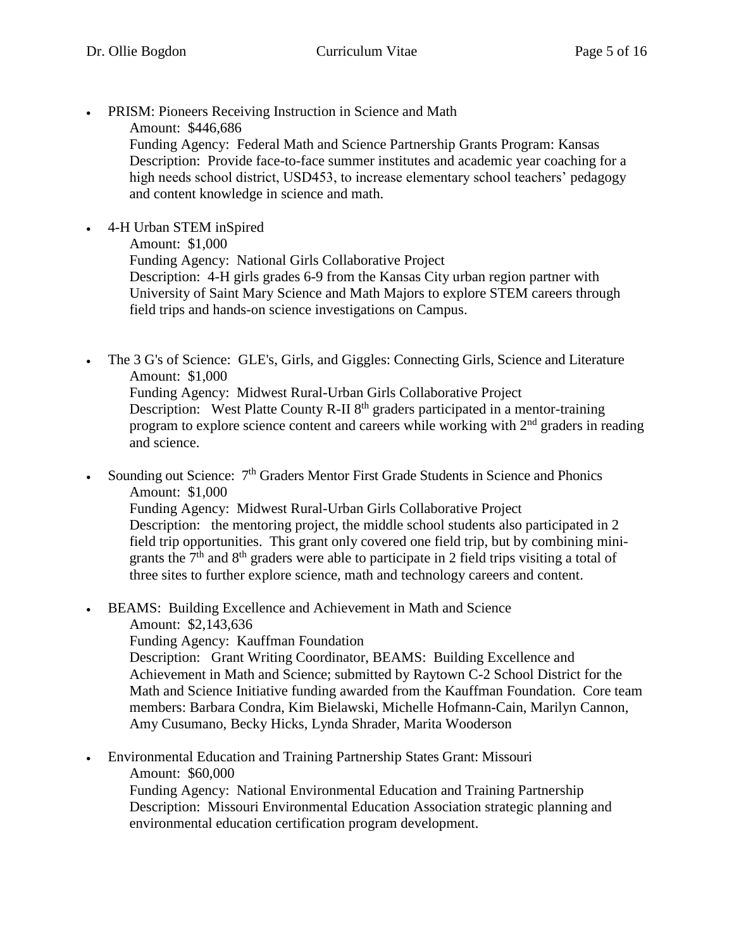- PRISM: Pioneers Receiving Instruction in Science and Math
	- Amount: \$446,686

Funding Agency: Federal Math and Science Partnership Grants Program: Kansas Description: Provide face-to-face summer institutes and academic year coaching for a high needs school district, USD453, to increase elementary school teachers' pedagogy and content knowledge in science and math.

4-H Urban STEM inSpired

Amount: \$1,000

Funding Agency: National Girls Collaborative Project

Description: 4-H girls grades 6-9 from the Kansas City urban region partner with University of Saint Mary Science and Math Majors to explore STEM careers through field trips and hands-on science investigations on Campus.

 The 3 G's of Science: GLE's, Girls, and Giggles: Connecting Girls, Science and Literature Amount: \$1,000 Funding Agency: Midwest Rural-Urban Girls Collaborative Project Description: West Platte County R-II 8<sup>th</sup> graders participated in a mentor-training program to explore science content and careers while working with  $2<sup>nd</sup>$  graders in reading and science.

Sounding out Science:  $7<sup>th</sup>$  Graders Mentor First Grade Students in Science and Phonics Amount: \$1,000 Funding Agency: Midwest Rural-Urban Girls Collaborative Project Description: the mentoring project, the middle school students also participated in 2 field trip opportunities. This grant only covered one field trip, but by combining minigrants the  $7<sup>th</sup>$  and  $8<sup>th</sup>$  graders were able to participate in 2 field trips visiting a total of three sites to further explore science, math and technology careers and content.

- BEAMS: Building Excellence and Achievement in Math and Science Amount: \$2,143,636
	- Funding Agency: Kauffman Foundation

Description: Grant Writing Coordinator, BEAMS: Building Excellence and Achievement in Math and Science; submitted by Raytown C-2 School District for the Math and Science Initiative funding awarded from the Kauffman Foundation. Core team members: Barbara Condra, Kim Bielawski, Michelle Hofmann-Cain, Marilyn Cannon, Amy Cusumano, Becky Hicks, Lynda Shrader, Marita Wooderson

 Environmental Education and Training Partnership States Grant: Missouri Amount: \$60,000 Funding Agency: National Environmental Education and Training Partnership

Description: Missouri Environmental Education Association strategic planning and environmental education certification program development.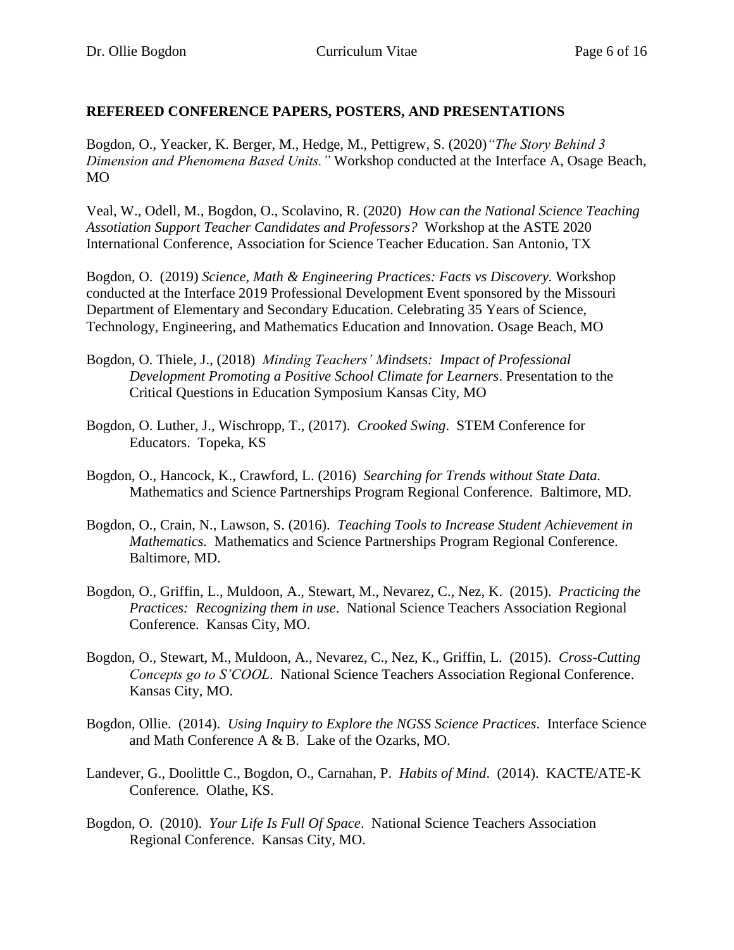#### **REFEREED CONFERENCE PAPERS, POSTERS, AND PRESENTATIONS**

Bogdon, O., Yeacker, K. Berger, M., Hedge, M., Pettigrew, S. (2020)*"The Story Behind 3 Dimension and Phenomena Based Units."* Workshop conducted at the Interface A, Osage Beach, MO

Veal, W., Odell, M., Bogdon, O., Scolavino, R. (2020) *How can the National Science Teaching Assotiation Support Teacher Candidates and Professors?* Workshop at the ASTE 2020 International Conference, Association for Science Teacher Education. San Antonio, TX

Bogdon, O. (2019) *Science, Math & Engineering Practices: Facts vs Discovery.* Workshop conducted at the Interface 2019 Professional Development Event sponsored by the Missouri Department of Elementary and Secondary Education. Celebrating 35 Years of Science, Technology, Engineering, and Mathematics Education and Innovation. Osage Beach, MO

- Bogdon, O. Thiele, J., (2018) *Minding Teachers' Mindsets: Impact of Professional Development Promoting a Positive School Climate for Learners*. Presentation to the Critical Questions in Education Symposium Kansas City, MO
- Bogdon, O. Luther, J., Wischropp, T., (2017). *Crooked Swing*. STEM Conference for Educators. Topeka, KS
- Bogdon, O., Hancock, K., Crawford, L. (2016) *Searching for Trends without State Data.* Mathematics and Science Partnerships Program Regional Conference. Baltimore, MD.
- Bogdon, O., Crain, N., Lawson, S. (2016). *Teaching Tools to Increase Student Achievement in Mathematics.* Mathematics and Science Partnerships Program Regional Conference. Baltimore, MD.
- Bogdon, O., Griffin, L., Muldoon, A., Stewart, M., Nevarez, C., Nez, K. (2015). *Practicing the Practices: Recognizing them in use*. National Science Teachers Association Regional Conference. Kansas City, MO.
- Bogdon, O., Stewart, M., Muldoon, A., Nevarez, C., Nez, K., Griffin, L. (2015). *Cross-Cutting Concepts go to S'COOL*. National Science Teachers Association Regional Conference. Kansas City, MO.
- Bogdon, Ollie. (2014). *Using Inquiry to Explore the NGSS Science Practices*. Interface Science and Math Conference A & B. Lake of the Ozarks, MO.
- Landever, G., Doolittle C., Bogdon, O., Carnahan, P. *Habits of Mind*. (2014). KACTE/ATE-K Conference. Olathe, KS.
- Bogdon, O. (2010). *Your Life Is Full Of Space*. National Science Teachers Association Regional Conference. Kansas City, MO.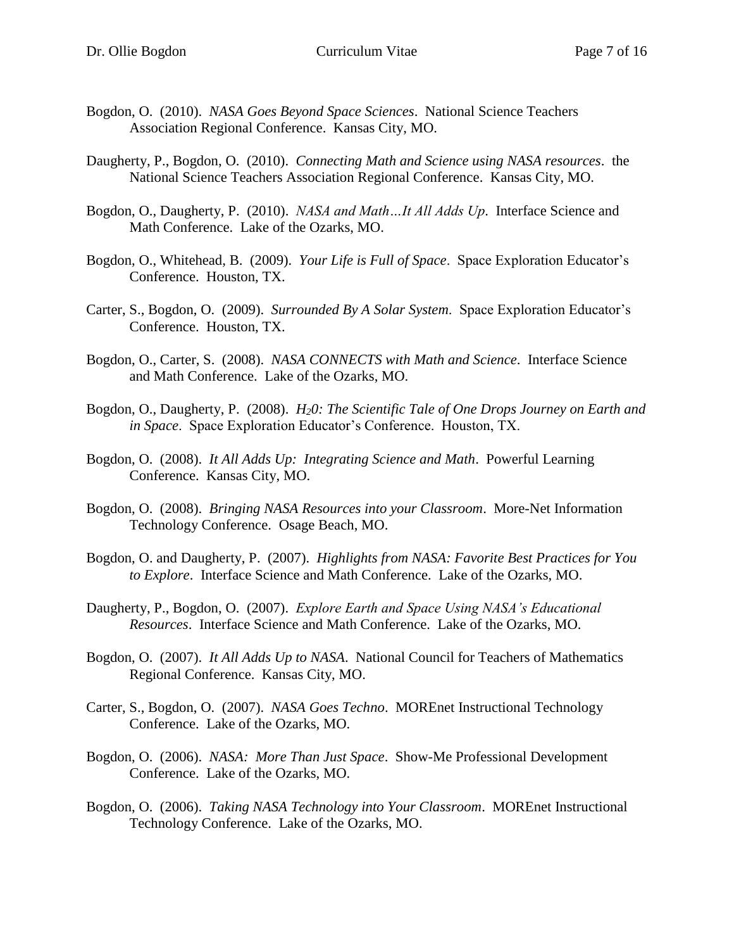- Bogdon, O. (2010). *NASA Goes Beyond Space Sciences*. National Science Teachers Association Regional Conference. Kansas City, MO.
- Daugherty, P., Bogdon, O. (2010). *Connecting Math and Science using NASA resources*. the National Science Teachers Association Regional Conference. Kansas City, MO.
- Bogdon, O., Daugherty, P. (2010). *NASA and Math…It All Adds Up*. Interface Science and Math Conference. Lake of the Ozarks, MO.
- Bogdon, O., Whitehead, B. (2009). *Your Life is Full of Space*. Space Exploration Educator's Conference. Houston, TX.
- Carter, S., Bogdon, O. (2009). *Surrounded By A Solar System*. Space Exploration Educator's Conference. Houston, TX.
- Bogdon, O., Carter, S. (2008). *NASA CONNECTS with Math and Science*. Interface Science and Math Conference. Lake of the Ozarks, MO.
- Bogdon, O., Daugherty, P. (2008). *H20: The Scientific Tale of One Drops Journey on Earth and in Space*. Space Exploration Educator's Conference. Houston, TX.
- Bogdon, O. (2008). *It All Adds Up: Integrating Science and Math*. Powerful Learning Conference. Kansas City, MO.
- Bogdon, O. (2008). *Bringing NASA Resources into your Classroom*. More-Net Information Technology Conference. Osage Beach, MO.
- Bogdon, O. and Daugherty, P. (2007). *Highlights from NASA: Favorite Best Practices for You to Explore*. Interface Science and Math Conference. Lake of the Ozarks, MO.
- Daugherty, P., Bogdon, O. (2007). *Explore Earth and Space Using NASA's Educational Resources*. Interface Science and Math Conference. Lake of the Ozarks, MO.
- Bogdon, O. (2007). *It All Adds Up to NASA*. National Council for Teachers of Mathematics Regional Conference. Kansas City, MO.
- Carter, S., Bogdon, O. (2007). *NASA Goes Techno*. MOREnet Instructional Technology Conference. Lake of the Ozarks, MO.
- Bogdon, O. (2006). *NASA: More Than Just Space*. Show-Me Professional Development Conference. Lake of the Ozarks, MO.
- Bogdon, O. (2006). *Taking NASA Technology into Your Classroom*. MOREnet Instructional Technology Conference. Lake of the Ozarks, MO.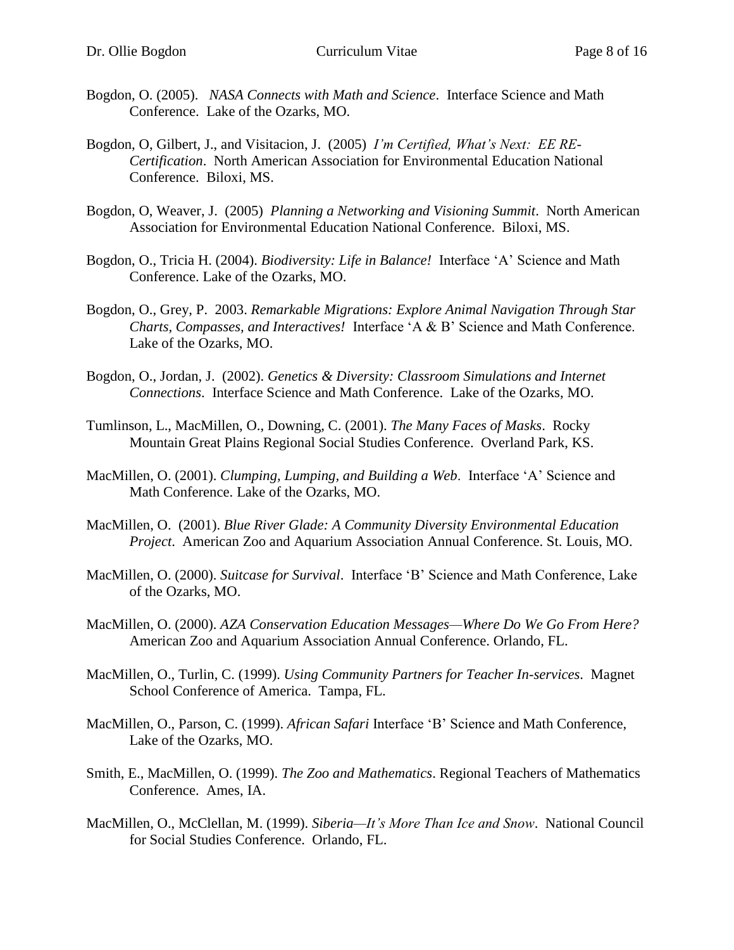- Bogdon, O. (2005). *NASA Connects with Math and Science*. Interface Science and Math Conference. Lake of the Ozarks, MO.
- Bogdon, O, Gilbert, J., and Visitacion, J. (2005) *I'm Certified, What's Next: EE RE-Certification*. North American Association for Environmental Education National Conference. Biloxi, MS.
- Bogdon, O, Weaver, J. (2005) *Planning a Networking and Visioning Summit*. North American Association for Environmental Education National Conference. Biloxi, MS.
- Bogdon, O., Tricia H. (2004). *Biodiversity: Life in Balance!* Interface 'A' Science and Math Conference. Lake of the Ozarks, MO.
- Bogdon, O., Grey, P. 2003. *Remarkable Migrations: Explore Animal Navigation Through Star Charts, Compasses, and Interactives!* Interface 'A & B' Science and Math Conference. Lake of the Ozarks, MO.
- Bogdon, O., Jordan, J. (2002). *Genetics & Diversity: Classroom Simulations and Internet Connections*. Interface Science and Math Conference. Lake of the Ozarks, MO.
- Tumlinson, L., MacMillen, O., Downing, C. (2001). *The Many Faces of Masks*. Rocky Mountain Great Plains Regional Social Studies Conference. Overland Park, KS.
- MacMillen, O. (2001). *Clumping, Lumping, and Building a Web*. Interface 'A' Science and Math Conference. Lake of the Ozarks, MO.
- MacMillen, O. (2001). *Blue River Glade: A Community Diversity Environmental Education Project*. American Zoo and Aquarium Association Annual Conference. St. Louis, MO.
- MacMillen, O. (2000). *Suitcase for Survival*. Interface 'B' Science and Math Conference, Lake of the Ozarks, MO.
- MacMillen, O. (2000). *AZA Conservation Education Messages—Where Do We Go From Here?* American Zoo and Aquarium Association Annual Conference. Orlando, FL.
- MacMillen, O., Turlin, C. (1999). *Using Community Partners for Teacher In-services*. Magnet School Conference of America. Tampa, FL.
- MacMillen, O., Parson, C. (1999). *African Safari* Interface 'B' Science and Math Conference, Lake of the Ozarks, MO.
- Smith, E., MacMillen, O. (1999). *The Zoo and Mathematics*. Regional Teachers of Mathematics Conference. Ames, IA.
- MacMillen, O., McClellan, M. (1999). *Siberia—It's More Than Ice and Snow*. National Council for Social Studies Conference. Orlando, FL.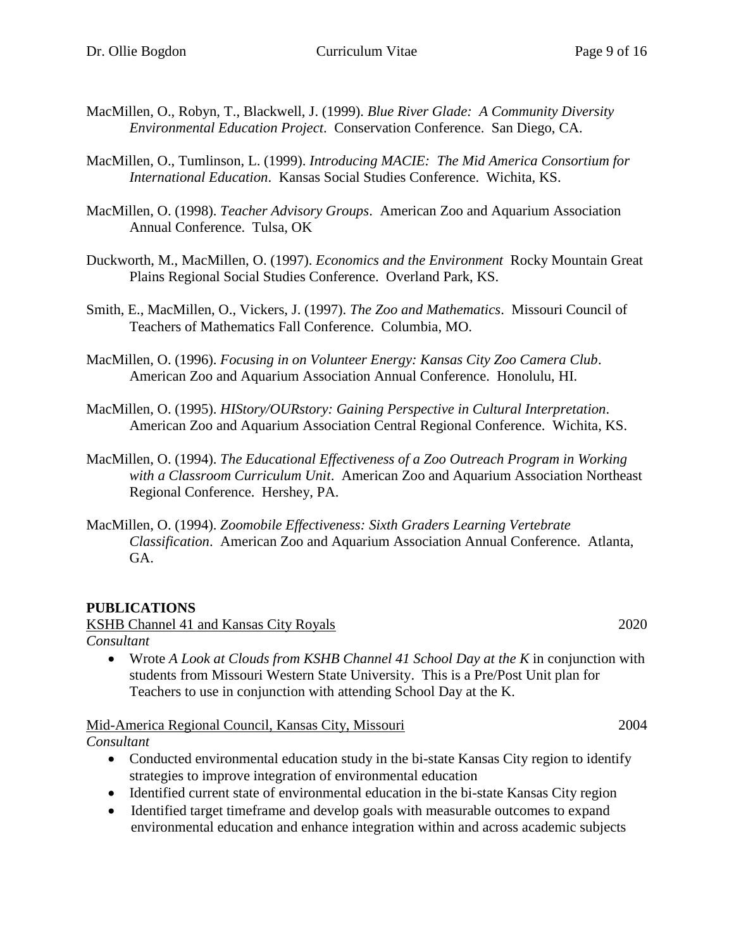- MacMillen, O., Robyn, T., Blackwell, J. (1999). *Blue River Glade: A Community Diversity Environmental Education Project*. Conservation Conference. San Diego, CA.
- MacMillen, O., Tumlinson, L. (1999). *Introducing MACIE: The Mid America Consortium for International Education*. Kansas Social Studies Conference. Wichita, KS.
- MacMillen, O. (1998). *Teacher Advisory Groups*. American Zoo and Aquarium Association Annual Conference. Tulsa, OK
- Duckworth, M., MacMillen, O. (1997). *Economics and the Environment* Rocky Mountain Great Plains Regional Social Studies Conference. Overland Park, KS.
- Smith, E., MacMillen, O., Vickers, J. (1997). *The Zoo and Mathematics*. Missouri Council of Teachers of Mathematics Fall Conference. Columbia, MO.
- MacMillen, O. (1996). *Focusing in on Volunteer Energy: Kansas City Zoo Camera Club*. American Zoo and Aquarium Association Annual Conference. Honolulu, HI.
- MacMillen, O. (1995). *HIStory/OURstory: Gaining Perspective in Cultural Interpretation*. American Zoo and Aquarium Association Central Regional Conference. Wichita, KS.
- MacMillen, O. (1994). *The Educational Effectiveness of a Zoo Outreach Program in Working with a Classroom Curriculum Unit*. American Zoo and Aquarium Association Northeast Regional Conference. Hershey, PA.
- MacMillen, O. (1994). *Zoomobile Effectiveness: Sixth Graders Learning Vertebrate Classification*. American Zoo and Aquarium Association Annual Conference. Atlanta, GA.

## **PUBLICATIONS**

KSHB Channel 41 and Kansas City Royals 2020

*Consultant*

 Wrote *A Look at Clouds from KSHB Channel 41 School Day at the K* in conjunction with students from Missouri Western State University. This is a Pre/Post Unit plan for Teachers to use in conjunction with attending School Day at the K.

Mid-America Regional Council, Kansas City, Missouri 2004 *Consultant*

- Conducted environmental education study in the bi-state Kansas City region to identify strategies to improve integration of environmental education
- Identified current state of environmental education in the bi-state Kansas City region
- Identified target timeframe and develop goals with measurable outcomes to expand environmental education and enhance integration within and across academic subjects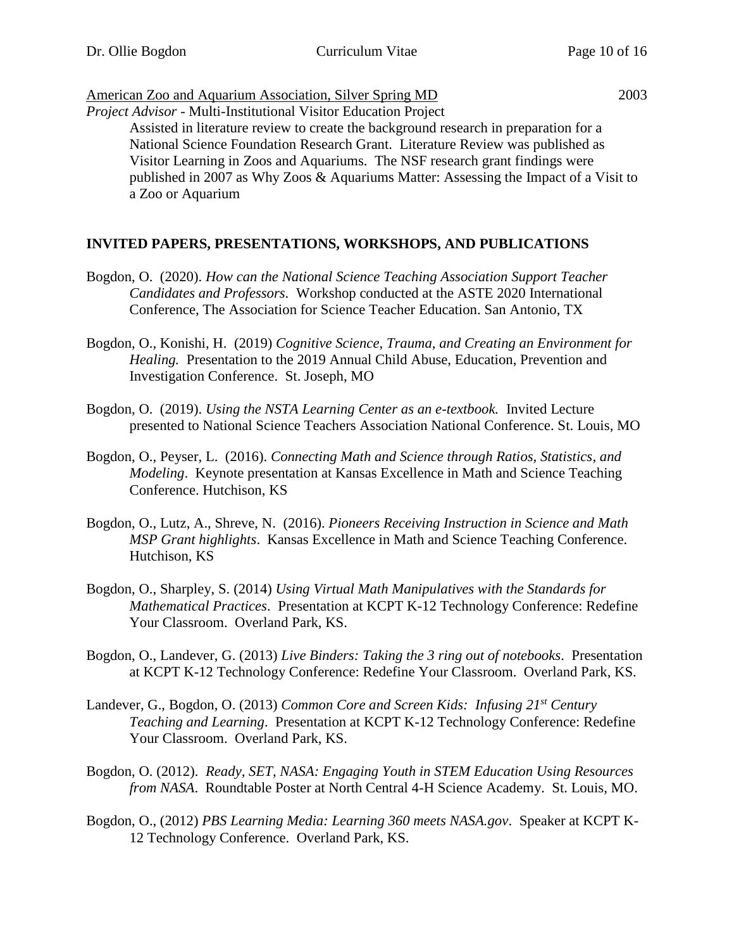## American Zoo and Aquarium Association, Silver Spring MD 2003

*Project Advisor* - Multi-Institutional Visitor Education Project

Assisted in literature review to create the background research in preparation for a National Science Foundation Research Grant. Literature Review was published as Visitor Learning in Zoos and Aquariums. The NSF research grant findings were published in 2007 as Why Zoos & Aquariums Matter: Assessing the Impact of a Visit to a Zoo or Aquarium

## **INVITED PAPERS, PRESENTATIONS, WORKSHOPS, AND PUBLICATIONS**

- Bogdon, O. (2020). *How can the National Science Teaching Association Support Teacher Candidates and Professors.* Workshop conducted at the ASTE 2020 International Conference, The Association for Science Teacher Education. San Antonio, TX
- Bogdon, O., Konishi, H. (2019) *Cognitive Science, Trauma, and Creating an Environment for Healing.* Presentation to the 2019 Annual Child Abuse, Education, Prevention and Investigation Conference. St. Joseph, MO
- Bogdon, O. (2019). *Using the NSTA Learning Center as an e-textbook.* Invited Lecture presented to National Science Teachers Association National Conference. St. Louis, MO
- Bogdon, O., Peyser, L. (2016). *Connecting Math and Science through Ratios, Statistics, and Modeling*. Keynote presentation at Kansas Excellence in Math and Science Teaching Conference. Hutchison, KS
- Bogdon, O., Lutz, A., Shreve, N. (2016). *Pioneers Receiving Instruction in Science and Math MSP Grant highlights*. Kansas Excellence in Math and Science Teaching Conference. Hutchison, KS
- Bogdon, O., Sharpley, S. (2014) *Using Virtual Math Manipulatives with the Standards for Mathematical Practices*. Presentation at KCPT K-12 Technology Conference: Redefine Your Classroom. Overland Park, KS.
- Bogdon, O., Landever, G. (2013) *Live Binders: Taking the 3 ring out of notebooks*. Presentation at KCPT K-12 Technology Conference: Redefine Your Classroom. Overland Park, KS.
- Landever, G., Bogdon, O. (2013) *Common Core and Screen Kids: Infusing 21st Century Teaching and Learning*. Presentation at KCPT K-12 Technology Conference: Redefine Your Classroom. Overland Park, KS.
- Bogdon, O. (2012). *Ready, SET, NASA: Engaging Youth in STEM Education Using Resources from NASA*. Roundtable Poster at North Central 4-H Science Academy. St. Louis, MO.
- Bogdon, O., (2012) *PBS Learning Media: Learning 360 meets NASA.gov*. Speaker at KCPT K-12 Technology Conference. Overland Park, KS.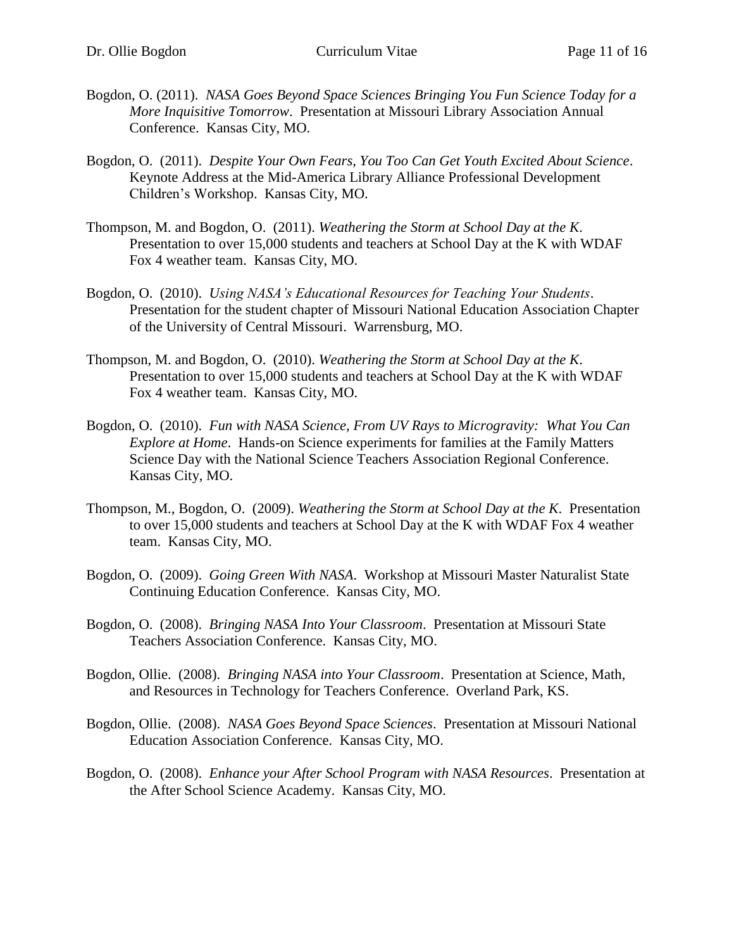- Bogdon, O. (2011). *NASA Goes Beyond Space Sciences Bringing You Fun Science Today for a More Inquisitive Tomorrow*. Presentation at Missouri Library Association Annual Conference. Kansas City, MO.
- Bogdon, O. (2011). *Despite Your Own Fears, You Too Can Get Youth Excited About Science*. Keynote Address at the Mid-America Library Alliance Professional Development Children's Workshop. Kansas City, MO.
- Thompson, M. and Bogdon, O. (2011). *Weathering the Storm at School Day at the K*. Presentation to over 15,000 students and teachers at School Day at the K with WDAF Fox 4 weather team. Kansas City, MO.
- Bogdon, O. (2010). *Using NASA's Educational Resources for Teaching Your Students*. Presentation for the student chapter of Missouri National Education Association Chapter of the University of Central Missouri. Warrensburg, MO.
- Thompson, M. and Bogdon, O. (2010). *Weathering the Storm at School Day at the K*. Presentation to over 15,000 students and teachers at School Day at the K with WDAF Fox 4 weather team. Kansas City, MO.
- Bogdon, O. (2010). *Fun with NASA Science, From UV Rays to Microgravity: What You Can Explore at Home*. Hands-on Science experiments for families at the Family Matters Science Day with the National Science Teachers Association Regional Conference. Kansas City, MO.
- Thompson, M., Bogdon, O. (2009). *Weathering the Storm at School Day at the K*. Presentation to over 15,000 students and teachers at School Day at the K with WDAF Fox 4 weather team. Kansas City, MO.
- Bogdon, O. (2009). *Going Green With NASA*. Workshop at Missouri Master Naturalist State Continuing Education Conference. Kansas City, MO.
- Bogdon, O. (2008). *Bringing NASA Into Your Classroom*. Presentation at Missouri State Teachers Association Conference. Kansas City, MO.
- Bogdon, Ollie. (2008). *Bringing NASA into Your Classroom*. Presentation at Science, Math, and Resources in Technology for Teachers Conference. Overland Park, KS.
- Bogdon, Ollie. (2008). *NASA Goes Beyond Space Sciences*. Presentation at Missouri National Education Association Conference. Kansas City, MO.
- Bogdon, O. (2008). *Enhance your After School Program with NASA Resources*. Presentation at the After School Science Academy. Kansas City, MO.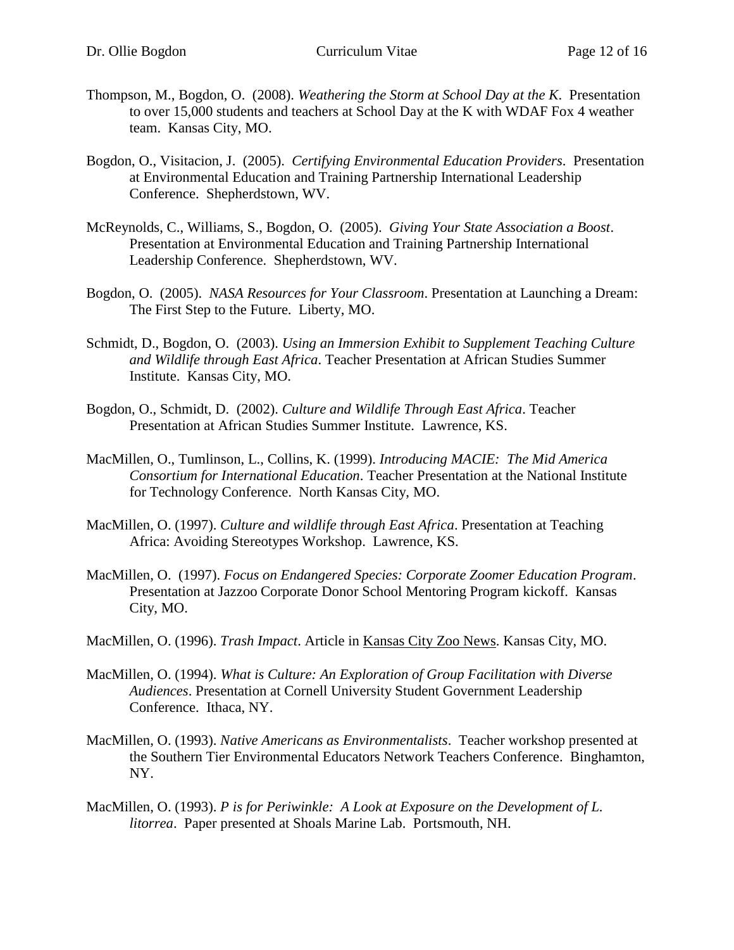- Thompson, M., Bogdon, O. (2008). *Weathering the Storm at School Day at the K*. Presentation to over 15,000 students and teachers at School Day at the K with WDAF Fox 4 weather team. Kansas City, MO.
- Bogdon, O., Visitacion, J. (2005). *Certifying Environmental Education Providers*. Presentation at Environmental Education and Training Partnership International Leadership Conference. Shepherdstown, WV.
- McReynolds, C., Williams, S., Bogdon, O. (2005). *Giving Your State Association a Boost*. Presentation at Environmental Education and Training Partnership International Leadership Conference. Shepherdstown, WV.
- Bogdon, O. (2005). *NASA Resources for Your Classroom*. Presentation at Launching a Dream: The First Step to the Future. Liberty, MO.
- Schmidt, D., Bogdon, O. (2003). *Using an Immersion Exhibit to Supplement Teaching Culture and Wildlife through East Africa*. Teacher Presentation at African Studies Summer Institute. Kansas City, MO.
- Bogdon, O., Schmidt, D. (2002). *Culture and Wildlife Through East Africa*. Teacher Presentation at African Studies Summer Institute. Lawrence, KS.
- MacMillen, O., Tumlinson, L., Collins, K. (1999). *Introducing MACIE: The Mid America Consortium for International Education*. Teacher Presentation at the National Institute for Technology Conference. North Kansas City, MO.
- MacMillen, O. (1997). *Culture and wildlife through East Africa*. Presentation at Teaching Africa: Avoiding Stereotypes Workshop. Lawrence, KS.
- MacMillen, O. (1997). *Focus on Endangered Species: Corporate Zoomer Education Program*. Presentation at Jazzoo Corporate Donor School Mentoring Program kickoff. Kansas City, MO.
- MacMillen, O. (1996). *Trash Impact*. Article in Kansas City Zoo News. Kansas City, MO.
- MacMillen, O. (1994). *What is Culture: An Exploration of Group Facilitation with Diverse Audiences*. Presentation at Cornell University Student Government Leadership Conference. Ithaca, NY.
- MacMillen, O. (1993). *Native Americans as Environmentalists*. Teacher workshop presented at the Southern Tier Environmental Educators Network Teachers Conference. Binghamton, NY.
- MacMillen, O. (1993). *P is for Periwinkle: A Look at Exposure on the Development of L. litorrea*. Paper presented at Shoals Marine Lab. Portsmouth, NH.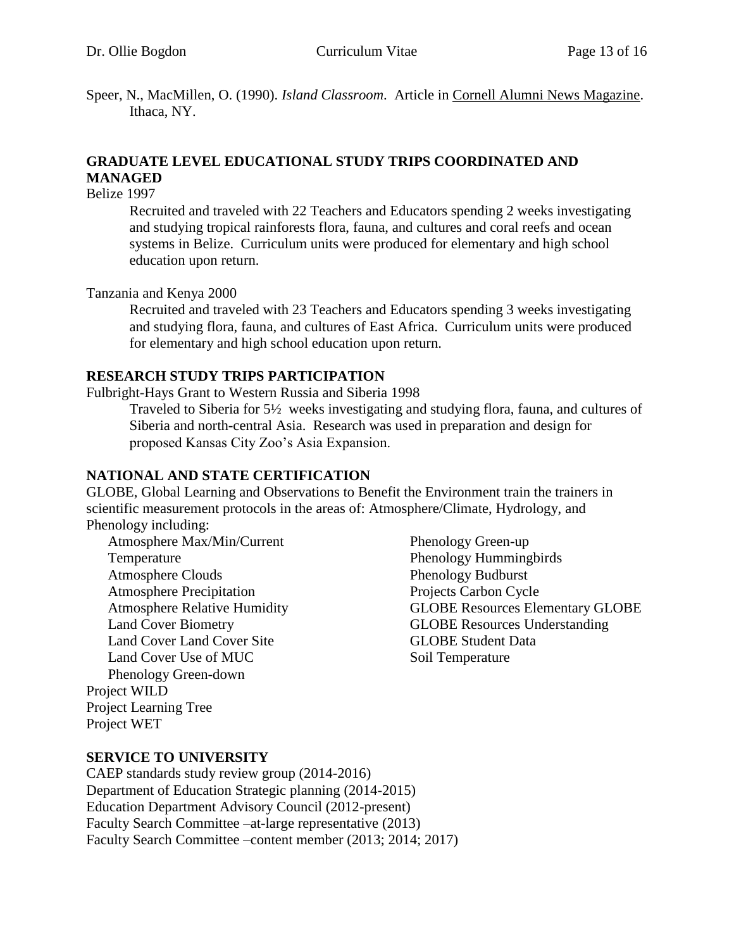Speer, N., MacMillen, O. (1990). *Island Classroom*. Article in Cornell Alumni News Magazine. Ithaca, NY.

## **GRADUATE LEVEL EDUCATIONAL STUDY TRIPS COORDINATED AND MANAGED**

Belize 1997

Recruited and traveled with 22 Teachers and Educators spending 2 weeks investigating and studying tropical rainforests flora, fauna, and cultures and coral reefs and ocean systems in Belize. Curriculum units were produced for elementary and high school education upon return.

Tanzania and Kenya 2000

Recruited and traveled with 23 Teachers and Educators spending 3 weeks investigating and studying flora, fauna, and cultures of East Africa. Curriculum units were produced for elementary and high school education upon return.

#### **RESEARCH STUDY TRIPS PARTICIPATION**

Fulbright-Hays Grant to Western Russia and Siberia 1998

Traveled to Siberia for 5½ weeks investigating and studying flora, fauna, and cultures of Siberia and north-central Asia. Research was used in preparation and design for proposed Kansas City Zoo's Asia Expansion.

#### **NATIONAL AND STATE CERTIFICATION**

GLOBE, Global Learning and Observations to Benefit the Environment train the trainers in scientific measurement protocols in the areas of: Atmosphere/Climate, Hydrology, and Phenology including:

Atmosphere Max/Min/Current Temperature Atmosphere Clouds Atmosphere Precipitation Atmosphere Relative Humidity Land Cover Biometry Land Cover Land Cover Site Land Cover Use of MUC Phenology Green-down Project WILD Project Learning Tree Project WET

Phenology Green-up Phenology Hummingbirds Phenology Budburst Projects Carbon Cycle GLOBE Resources Elementary GLOBE GLOBE Resources Understanding GLOBE Student Data Soil Temperature

#### **SERVICE TO UNIVERSITY**

CAEP standards study review group (2014-2016) Department of Education Strategic planning (2014-2015) Education Department Advisory Council (2012-present) Faculty Search Committee –at-large representative (2013) Faculty Search Committee –content member (2013; 2014; 2017)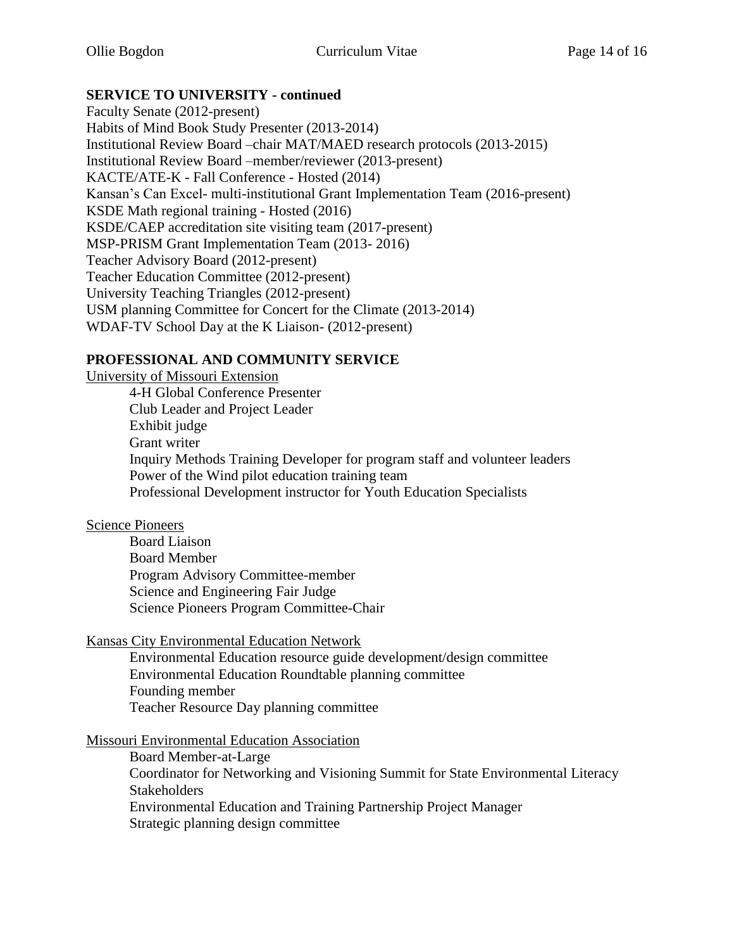## **SERVICE TO UNIVERSITY - continued**

Faculty Senate (2012-present) Habits of Mind Book Study Presenter (2013-2014) Institutional Review Board –chair MAT/MAED research protocols (2013-2015) Institutional Review Board –member/reviewer (2013-present) KACTE/ATE-K - Fall Conference - Hosted (2014) Kansan's Can Excel- multi-institutional Grant Implementation Team (2016-present) KSDE Math regional training - Hosted (2016) KSDE/CAEP accreditation site visiting team (2017-present) MSP-PRISM Grant Implementation Team (2013- 2016) Teacher Advisory Board (2012-present) Teacher Education Committee (2012-present) University Teaching Triangles (2012-present) USM planning Committee for Concert for the Climate (2013-2014) WDAF-TV School Day at the K Liaison- (2012-present)

## **PROFESSIONAL AND COMMUNITY SERVICE**

University of Missouri Extension

4-H Global Conference Presenter Club Leader and Project Leader Exhibit judge Grant writer Inquiry Methods Training Developer for program staff and volunteer leaders Power of the Wind pilot education training team Professional Development instructor for Youth Education Specialists

## Science Pioneers

Board Liaison Board Member Program Advisory Committee-member Science and Engineering Fair Judge Science Pioneers Program Committee-Chair

Kansas City Environmental Education Network

Environmental Education resource guide development/design committee Environmental Education Roundtable planning committee Founding member Teacher Resource Day planning committee

## Missouri Environmental Education Association

Board Member-at-Large Coordinator for Networking and Visioning Summit for State Environmental Literacy **Stakeholders** Environmental Education and Training Partnership Project Manager Strategic planning design committee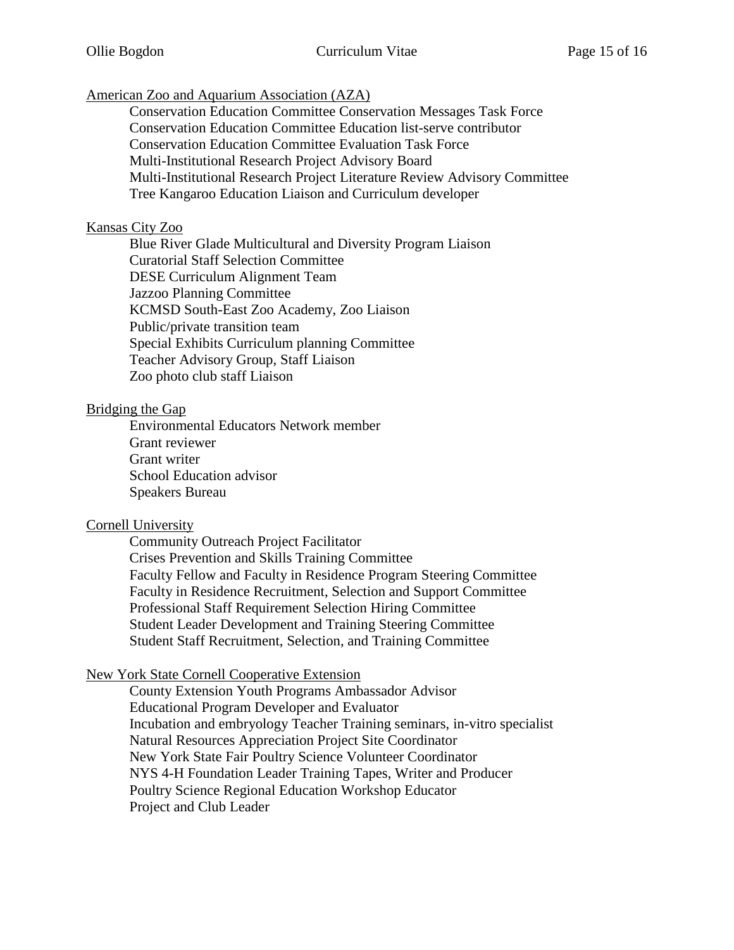American Zoo and Aquarium Association (AZA)

Conservation Education Committee Conservation Messages Task Force Conservation Education Committee Education list-serve contributor Conservation Education Committee Evaluation Task Force Multi-Institutional Research Project Advisory Board Multi-Institutional Research Project Literature Review Advisory Committee Tree Kangaroo Education Liaison and Curriculum developer

#### Kansas City Zoo

Blue River Glade Multicultural and Diversity Program Liaison Curatorial Staff Selection Committee DESE Curriculum Alignment Team Jazzoo Planning Committee KCMSD South-East Zoo Academy, Zoo Liaison Public/private transition team Special Exhibits Curriculum planning Committee Teacher Advisory Group, Staff Liaison Zoo photo club staff Liaison

#### Bridging the Gap

Environmental Educators Network member Grant reviewer Grant writer School Education advisor Speakers Bureau

#### Cornell University

Community Outreach Project Facilitator Crises Prevention and Skills Training Committee Faculty Fellow and Faculty in Residence Program Steering Committee Faculty in Residence Recruitment, Selection and Support Committee Professional Staff Requirement Selection Hiring Committee Student Leader Development and Training Steering Committee Student Staff Recruitment, Selection, and Training Committee

## New York State Cornell Cooperative Extension

County Extension Youth Programs Ambassador Advisor Educational Program Developer and Evaluator Incubation and embryology Teacher Training seminars, in-vitro specialist Natural Resources Appreciation Project Site Coordinator New York State Fair Poultry Science Volunteer Coordinator NYS 4-H Foundation Leader Training Tapes, Writer and Producer Poultry Science Regional Education Workshop Educator Project and Club Leader